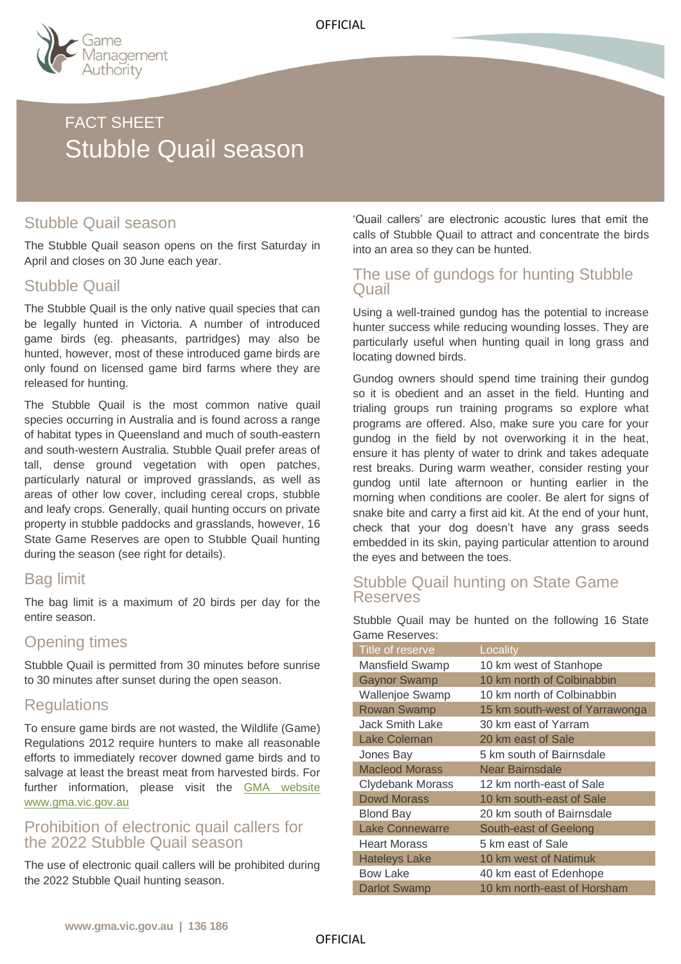

# FACT SHEET Stubble Quail season

## Stubble Quail season

The Stubble Quail season opens on the first Saturday in April and closes on 30 June each year.

## Stubble Quail

The Stubble Quail is the only native quail species that can be legally hunted in Victoria. A number of introduced game birds (eg. pheasants, partridges) may also be hunted, however, most of these introduced game birds are only found on licensed game bird farms where they are released for hunting.

The Stubble Quail is the most common native quail species occurring in Australia and is found across a range of habitat types in Queensland and much of south-eastern and south-western Australia. Stubble Quail prefer areas of tall, dense ground vegetation with open patches, particularly natural or improved grasslands, as well as areas of other low cover, including cereal crops, stubble and leafy crops. Generally, quail hunting occurs on private property in stubble paddocks and grasslands, however, 16 State Game Reserves are open to Stubble Quail hunting during the season (see right for details).

## Bag limit

The bag limit is a maximum of 20 birds per day for the entire season.

### Opening times

Stubble Quail is permitted from 30 minutes before sunrise to 30 minutes after sunset during the open season.

## **Regulations**

To ensure game birds are not wasted, the Wildlife (Game) Regulations 2012 require hunters to make all reasonable efforts to immediately recover downed game birds and to salvage at least the breast meat from harvested birds. For further information, please visit the [GMA website](https://vicgov.sharepoint.com/sites/VG001071/D007/Fact%20Sheets/gma.vic.gov.au) www.gma.vic.gov.au

#### Prohibition of electronic quail callers for the 2022 Stubble Quail season

The use of electronic quail callers will be prohibited during the 2022 Stubble Quail hunting season.

'Quail callers' are electronic acoustic lures that emit the calls of Stubble Quail to attract and concentrate the birds into an area so they can be hunted.

### The use of gundogs for hunting Stubble Quail

Using a well-trained gundog has the potential to increase hunter success while reducing wounding losses. They are particularly useful when hunting quail in long grass and locating downed birds.

Gundog owners should spend time training their gundog so it is obedient and an asset in the field. Hunting and trialing groups run training programs so explore what programs are offered. Also, make sure you care for your gundog in the field by not overworking it in the heat, ensure it has plenty of water to drink and takes adequate rest breaks. During warm weather, consider resting your gundog until late afternoon or hunting earlier in the morning when conditions are cooler. Be alert for signs of snake bite and carry a first aid kit. At the end of your hunt, check that your dog doesn't have any grass seeds embedded in its skin, paying particular attention to around the eyes and between the toes.

#### Stubble Quail hunting on State Game Reserves

Stubble Quail may be hunted on the following 16 State Game Reserves:

| Title of reserve        | Locality                       |
|-------------------------|--------------------------------|
| <b>Mansfield Swamp</b>  | 10 km west of Stanhope         |
| <b>Gaynor Swamp</b>     | 10 km north of Colbinabbin     |
| <b>Wallenjoe Swamp</b>  | 10 km north of Colbinabbin     |
| <b>Rowan Swamp</b>      | 15 km south-west of Yarrawonga |
| Jack Smith Lake         | 30 km east of Yarram           |
| <b>Lake Coleman</b>     | 20 km east of Sale             |
| Jones Bay               | 5 km south of Bairnsdale       |
| <b>Macleod Morass</b>   | Near Bairnsdale                |
| <b>Clydebank Morass</b> | 12 km north-east of Sale       |
| <b>Dowd Morass</b>      | 10 km south-east of Sale       |
| <b>Blond Bay</b>        | 20 km south of Bairnsdale      |
| <b>Lake Connewarre</b>  | South-east of Geelong          |
| <b>Heart Morass</b>     | 5 km east of Sale              |
| <b>Hateleys Lake</b>    | 10 km west of Natimuk          |
| <b>Bow Lake</b>         | 40 km east of Edenhope         |
| <b>Darlot Swamp</b>     | 10 km north-east of Horsham    |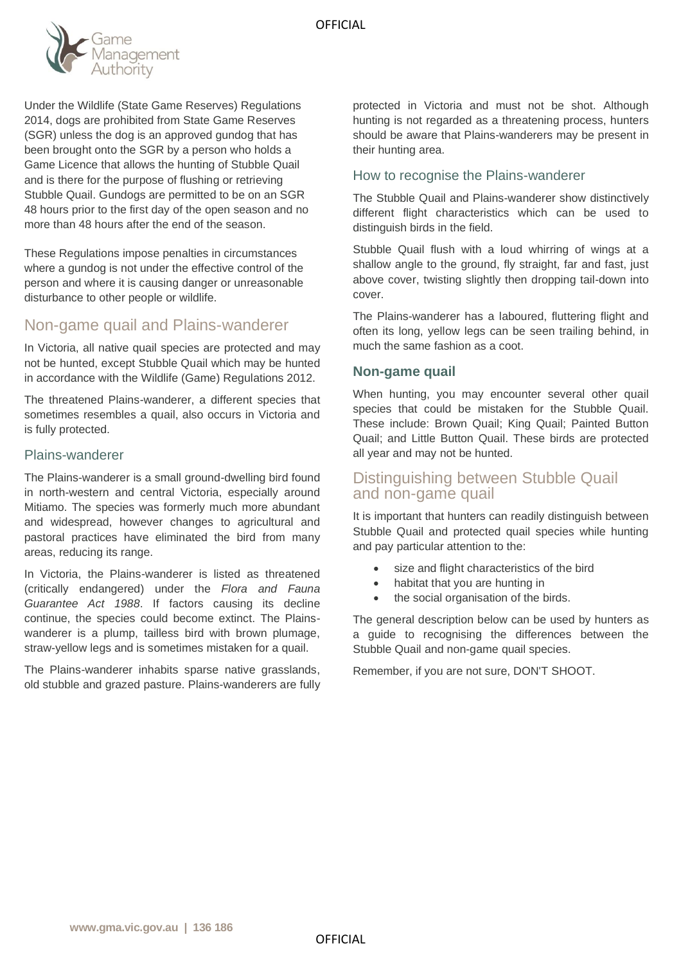

Under the Wildlife (State Game Reserves) Regulations 2014, dogs are prohibited from State Game Reserves (SGR) unless the dog is an approved gundog that has been brought onto the SGR by a person who holds a Game Licence that allows the hunting of Stubble Quail and is there for the purpose of flushing or retrieving Stubble Quail. Gundogs are permitted to be on an SGR 48 hours prior to the first day of the open season and no more than 48 hours after the end of the season.

These Regulations impose penalties in circumstances where a gundog is not under the effective control of the person and where it is causing danger or unreasonable disturbance to other people or wildlife.

## Non-game quail and Plains-wanderer

In Victoria, all native quail species are protected and may not be hunted, except Stubble Quail which may be hunted in accordance with the Wildlife (Game) Regulations 2012.

The threatened Plains-wanderer, a different species that sometimes resembles a quail, also occurs in Victoria and is fully protected.

#### Plains-wanderer

The Plains-wanderer is a small ground-dwelling bird found in north-western and central Victoria, especially around Mitiamo. The species was formerly much more abundant and widespread, however changes to agricultural and pastoral practices have eliminated the bird from many areas, reducing its range.

In Victoria, the Plains-wanderer is listed as threatened (critically endangered) under the *Flora and Fauna Guarantee Act 1988*. If factors causing its decline continue, the species could become extinct. The Plainswanderer is a plump, tailless bird with brown plumage, straw-yellow legs and is sometimes mistaken for a quail.

The Plains-wanderer inhabits sparse native grasslands, old stubble and grazed pasture. Plains-wanderers are fully

protected in Victoria and must not be shot. Although hunting is not regarded as a threatening process, hunters should be aware that Plains-wanderers may be present in their hunting area.

#### How to recognise the Plains-wanderer

The Stubble Quail and Plains-wanderer show distinctively different flight characteristics which can be used to distinguish birds in the field.

Stubble Quail flush with a loud whirring of wings at a shallow angle to the ground, fly straight, far and fast, just above cover, twisting slightly then dropping tail-down into cover.

The Plains-wanderer has a laboured, fluttering flight and often its long, yellow legs can be seen trailing behind, in much the same fashion as a coot.

#### **Non-game quail**

When hunting, you may encounter several other quail species that could be mistaken for the Stubble Quail. These include: Brown Quail; King Quail; Painted Button Quail; and Little Button Quail. These birds are protected all year and may not be hunted.

#### Distinguishing between Stubble Quail and non-game quail

It is important that hunters can readily distinguish between Stubble Quail and protected quail species while hunting and pay particular attention to the:

- size and flight characteristics of the bird
- habitat that you are hunting in
- the social organisation of the birds.

The general description below can be used by hunters as a guide to recognising the differences between the Stubble Quail and non-game quail species.

Remember, if you are not sure, DON'T SHOOT.